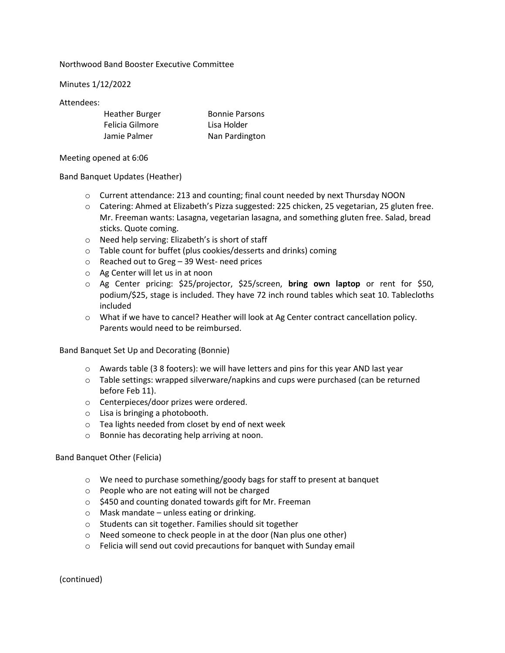## Northwood Band Booster Executive Committee

Minutes 1/12/2022

## Attendees:

| <b>Heather Burger</b> | <b>Bonnie Parsons</b> |
|-----------------------|-----------------------|
| Felicia Gilmore       | Lisa Holder           |
| Jamie Palmer          | Nan Pardington        |

Meeting opened at 6:06

## Band Banquet Updates (Heather)

- o Current attendance: 213 and counting; final count needed by next Thursday NOON
- o Catering: Ahmed at Elizabeth's Pizza suggested: 225 chicken, 25 vegetarian, 25 gluten free. Mr. Freeman wants: Lasagna, vegetarian lasagna, and something gluten free. Salad, bread sticks. Quote coming.
- o Need help serving: Elizabeth's is short of staff
- o Table count for buffet (plus cookies/desserts and drinks) coming
- o Reached out to Greg 39 West- need prices
- o Ag Center will let us in at noon
- o Ag Center pricing: \$25/projector, \$25/screen, **bring own laptop** or rent for \$50, podium/\$25, stage is included. They have 72 inch round tables which seat 10. Tablecloths included
- o What if we have to cancel? Heather will look at Ag Center contract cancellation policy. Parents would need to be reimbursed.

Band Banquet Set Up and Decorating (Bonnie)

- $\circ$  Awards table (3 8 footers): we will have letters and pins for this year AND last year
- o Table settings: wrapped silverware/napkins and cups were purchased (can be returned before Feb 11).
- o Centerpieces/door prizes were ordered.
- o Lisa is bringing a photobooth.
- o Tea lights needed from closet by end of next week
- o Bonnie has decorating help arriving at noon.

## Band Banquet Other (Felicia)

- o We need to purchase something/goody bags for staff to present at banquet
- o People who are not eating will not be charged
- o \$450 and counting donated towards gift for Mr. Freeman
- o Mask mandate unless eating or drinking.
- o Students can sit together. Families should sit together
- o Need someone to check people in at the door (Nan plus one other)
- o Felicia will send out covid precautions for banquet with Sunday email

(continued)